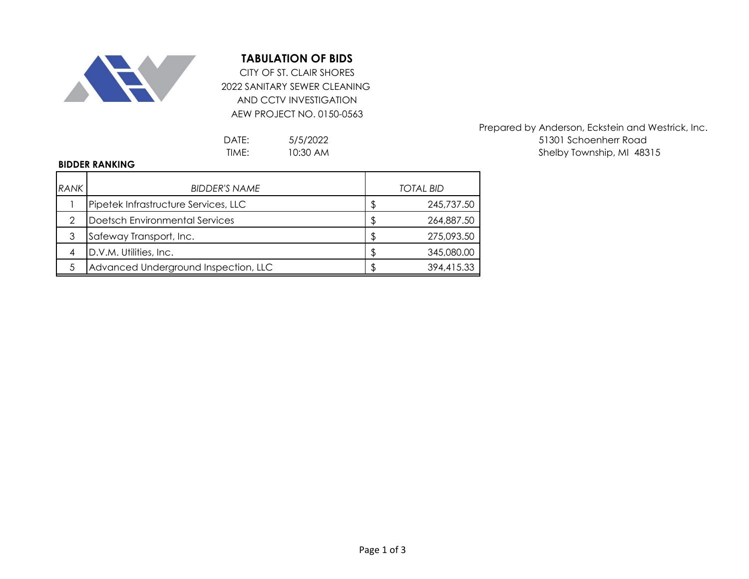

## **TABULATION OF BIDS**

2022 SANITARY SEWER CLEANING AND CCTV INVESTIGATION AEW PROJECT NO. 0150-0563 CITY OF ST. CLAIR SHORES

> 5/5/2022 10:30 AM

## **BIDDER RANKING**

| <b>RANK</b> | <b>BIDDER'S NAME</b>                 |    | <b>TOTAL BID</b> |
|-------------|--------------------------------------|----|------------------|
|             | Pipetek Infrastructure Services, LLC | \$ | 245,737.50       |
| っ           | Doetsch Environmental Services       | S  | 264,887.50       |
|             | Safeway Transport, Inc.              | \$ | 275,093.50       |
|             | D.V.M. Utilities, Inc.               | \$ | 345,080.00       |
|             | Advanced Underground Inspection, LLC | \$ | 394,415.33       |

Prepared by Anderson, Eckstein and Westrick, Inc. DATE: 5/5/2022 51301 Schoenherr Road TIME: 10:30 AM 10:30 AM 10:30 AM 16 Shelby Township, MI 48315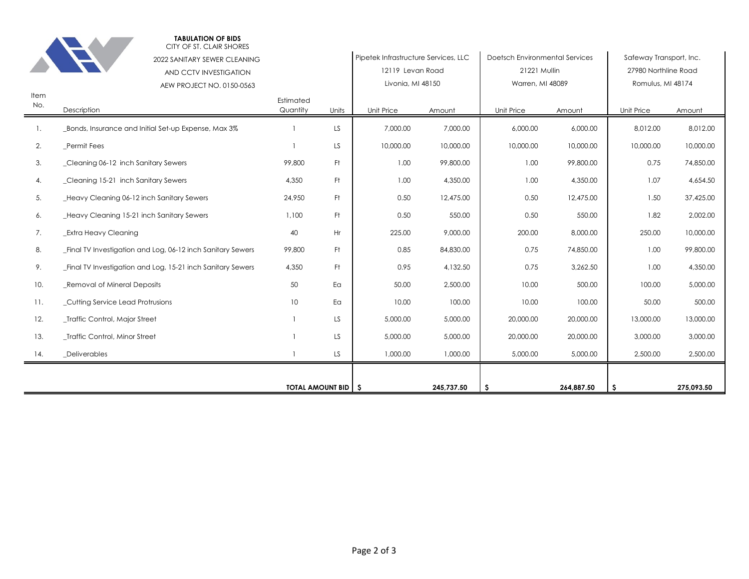|      |                                                                      | <b>TOTAL AMOUNT BID   \$</b> |       |                                | 245,737.50 | -S                      | 264,887.50 | -\$                  | 275,093.50 |
|------|----------------------------------------------------------------------|------------------------------|-------|--------------------------------|------------|-------------------------|------------|----------------------|------------|
|      |                                                                      |                              |       |                                |            |                         |            |                      |            |
| 14.  | _Deliverables                                                        |                              | LS.   | 1,000.00                       | 1,000.00   | 5,000.00                | 5,000.00   | 2,500.00             | 2,500.00   |
| 13.  | _Traffic Control, Minor Street                                       |                              | LS.   | 5,000.00                       | 5,000.00   | 20,000.00<br>20,000.00  |            | 3,000.00             | 3,000.00   |
| 12.  | _Traffic Control, Major Street                                       | $\mathbf{1}$                 | LS.   | 5,000.00                       | 5,000.00   | 20,000.00               | 20,000.00  | 13,000.00            | 13,000.00  |
| 11.  | _Cutting Service Lead Protrusions                                    | 10                           | Ea    | 10.00                          | 100.00     | 10.00                   | 100.00     | 50.00                | 500.00     |
| 10.  | _Removal of Mineral Deposits                                         | 50                           | Ea    | 50.00                          | 2,500.00   | 10.00                   | 500.00     | 100.00               | 5,000.00   |
| 9.   | Final TV Investigation and Log, 15-21 inch Sanitary Sewers           | 4,350                        | Ft.   | 0.95                           | 4,132.50   | 0.75                    | 3,262.50   | 1.00                 | 4,350.00   |
| 8.   | _Final TV Investigation and Log, 06-12 inch Sanitary Sewers          | 99,800                       | Ft.   | 0.85                           | 84,830.00  | 0.75                    | 74,850.00  | 1.00                 | 99,800.00  |
| 7.   | Extra Heavy Cleaning                                                 | 40                           | Hr    | 225.00                         | 9,000.00   | 200.00                  | 8,000.00   | 250.00               | 10,000.00  |
| 6.   | Heavy Cleaning 15-21 inch Sanitary Sewers                            | 1,100                        | Ft.   | 0.50                           | 550.00     | 0.50                    | 550.00     | 1.82                 | 2,002.00   |
| 5.   | _Heavy Cleaning 06-12 inch Sanitary Sewers                           | 24,950                       | Ft.   | 0.50                           | 12,475.00  | 0.50<br>12,475.00       |            | 1.50                 | 37,425.00  |
| 4.   | _Cleaning 15-21 inch Sanitary Sewers                                 | 4,350                        | Ft.   | 1.00                           | 4,350.00   | 1.00<br>4,350.00        |            | 1.07                 | 4,654.50   |
| 3.   | Cleaning 06-12 inch Sanitary Sewers                                  | 99,800                       | Ft.   | 1.00                           | 99,800.00  | 1.00<br>99,800.00       |            | 0.75                 | 74,850.00  |
| 2.   | Permit Fees                                                          |                              | LS    | 10,000.00                      | 10,000.00  | 10,000.00               | 10,000.00  | 10,000.00            | 10,000.00  |
|      | _Bonds, Insurance and Initial Set-up Expense, Max 3%                 |                              | LS.   | 7,000.00                       | 7,000.00   | 6,000.00                | 6,000.00   | 8,012.00             | 8,012.00   |
| No.  | Description                                                          | Estimated<br>Quantity        | Units | Unit Price                     | Amount     | Unit Price              | Amount     | Unit Price           | Amount     |
| Item | AEW PROJECT NO. 0150-0563                                            |                              |       | Livonia, MI 48150              |            | Warren, MI 48089        |            | Romulus, MI 48174    |            |
|      | AND CCTV INVESTIGATION                                               |                              |       | 12119 Levan Road               |            | 21221 Mullin            |            | 27980 Northline Road |            |
|      | Pipetek Infrastructure Services, LLC<br>2022 SANITARY SEWER CLEANING |                              |       | Doetsch Environmental Services |            | Safeway Transport, Inc. |            |                      |            |
|      | <b>TABULATION OF BIDS</b><br>CITY OF ST. CLAIR SHORES                |                              |       |                                |            |                         |            |                      |            |